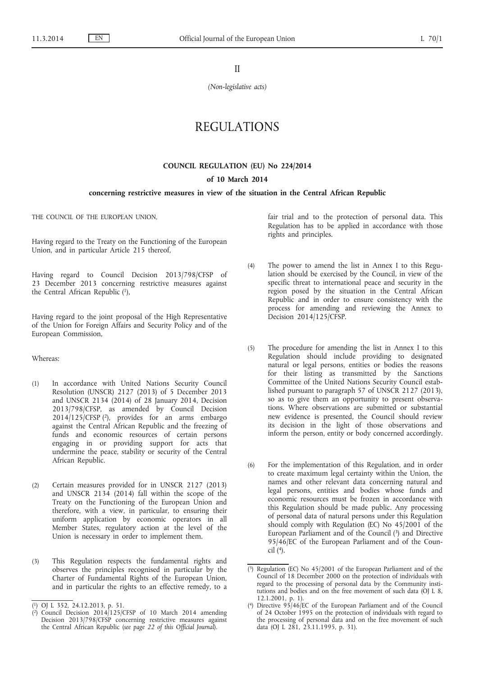II

*(Non-legislative acts)*

# REGULATIONS

## **COUNCIL REGULATION (EU) No 224/2014**

#### **of 10 March 2014**

## **concerning restrictive measures in view of the situation in the Central African Republic**

THE COUNCIL OF THE EUROPEAN UNION,

Having regard to the Treaty on the Functioning of the European Union, and in particular Article 215 thereof,

Having regard to Council Decision 2013/798/CFSP of 23 December 2013 concerning restrictive measures against the Central African Republic (1),

Having regard to the joint proposal of the High Representative of the Union for Foreign Affairs and Security Policy and of the European Commission,

#### Whereas:

- (1) In accordance with United Nations Security Council Resolution (UNSCR) 2127 (2013) of 5 December 2013 and UNSCR 2134 (2014) of 28 January 2014, Decision 2013/798/CFSP, as amended by Council Decision 2014/125/CFSP (2), provides for an arms embargo against the Central African Republic and the freezing of funds and economic resources of certain persons engaging in or providing support for acts that undermine the peace, stability or security of the Central African Republic.
- (2) Certain measures provided for in UNSCR 2127 (2013) and UNSCR 2134 (2014) fall within the scope of the Treaty on the Functioning of the European Union and therefore, with a view, in particular, to ensuring their uniform application by economic operators in all Member States, regulatory action at the level of the Union is necessary in order to implement them.
- (3) This Regulation respects the fundamental rights and observes the principles recognised in particular by the Charter of Fundamental Rights of the European Union, and in particular the rights to an effective remedy, to a

fair trial and to the protection of personal data. This Regulation has to be applied in accordance with those rights and principles.

- (4) The power to amend the list in Annex I to this Regulation should be exercised by the Council, in view of the specific threat to international peace and security in the region posed by the situation in the Central African Republic and in order to ensure consistency with the process for amending and reviewing the Annex to Decision 2014/125/CFSP.
- (5) The procedure for amending the list in Annex I to this Regulation should include providing to designated natural or legal persons, entities or bodies the reasons for their listing as transmitted by the Sanctions Committee of the United Nations Security Council established pursuant to paragraph 57 of UNSCR 2127 (2013), so as to give them an opportunity to present observations. Where observations are submitted or substantial new evidence is presented, the Council should review its decision in the light of those observations and inform the person, entity or body concerned accordingly.
- (6) For the implementation of this Regulation, and in order to create maximum legal certainty within the Union, the names and other relevant data concerning natural and legal persons, entities and bodies whose funds and economic resources must be frozen in accordance with this Regulation should be made public. Any processing of personal data of natural persons under this Regulation should comply with Regulation (EC) No 45/2001 of the European Parliament and of the Council (3) and Directive 95/46/EC of the European Parliament and of the Council  $(4)$ .

<sup>(</sup> 1) OJ L 352, 24.12.2013, p. 51.

<sup>(</sup> 2) Council Decision 2014/125/CFSP of 10 March 2014 amending Decision 2013/798/CFSP concerning restrictive measures against the Central African Republic (*see page 22 of this Official Journal*).

<sup>(</sup> 3) Regulation (EC) No 45/2001 of the European Parliament and of the Council of 18 December 2000 on the protection of individuals with regard to the processing of personal data by the Community institutions and bodies and on the free movement of such data (OJ L 8, 12.1.2001, p. 1).

<sup>(</sup> 4) Directive 95/46/EC of the European Parliament and of the Council of 24 October 1995 on the protection of individuals with regard to the processing of personal data and on the free movement of such data (OJ L 281, 23.11.1995, p. 31).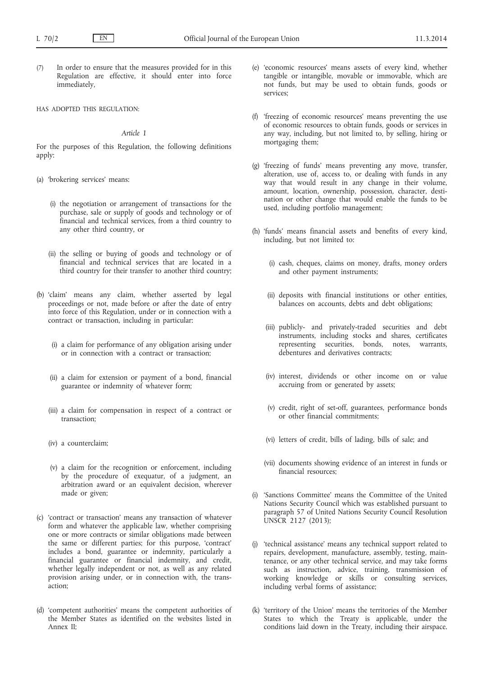(7) In order to ensure that the measures provided for in this Regulation are effective, it should enter into force immediately,

#### HAS ADOPTED THIS REGULATION:

## *Article 1*

For the purposes of this Regulation, the following definitions apply:

- (a) 'brokering services' means:
	- (i) the negotiation or arrangement of transactions for the purchase, sale or supply of goods and technology or of financial and technical services, from a third country to any other third country, or
	- (ii) the selling or buying of goods and technology or of financial and technical services that are located in a third country for their transfer to another third country;
- (b) 'claim' means any claim, whether asserted by legal proceedings or not, made before or after the date of entry into force of this Regulation, under or in connection with a contract or transaction, including in particular:
	- (i) a claim for performance of any obligation arising under or in connection with a contract or transaction;
	- (ii) a claim for extension or payment of a bond, financial guarantee or indemnity of whatever form;
	- (iii) a claim for compensation in respect of a contract or transaction;
	- (iv) a counterclaim;
	- (v) a claim for the recognition or enforcement, including by the procedure of exequatur, of a judgment, an arbitration award or an equivalent decision, wherever made or given;
- (c) 'contract or transaction' means any transaction of whatever form and whatever the applicable law, whether comprising one or more contracts or similar obligations made between the same or different parties; for this purpose, 'contract' includes a bond, guarantee or indemnity, particularly a financial guarantee or financial indemnity, and credit, whether legally independent or not, as well as any related provision arising under, or in connection with, the transaction;
- (d) 'competent authorities' means the competent authorities of the Member States as identified on the websites listed in Annex II;
- (e) 'economic resources' means assets of every kind, whether tangible or intangible, movable or immovable, which are not funds, but may be used to obtain funds, goods or services;
- (f) 'freezing of economic resources' means preventing the use of economic resources to obtain funds, goods or services in any way, including, but not limited to, by selling, hiring or mortgaging them;
- (g) 'freezing of funds' means preventing any move, transfer, alteration, use of, access to, or dealing with funds in any way that would result in any change in their volume, amount, location, ownership, possession, character, destination or other change that would enable the funds to be used, including portfolio management;
- (h) 'funds' means financial assets and benefits of every kind, including, but not limited to:
	- (i) cash, cheques, claims on money, drafts, money orders and other payment instruments;
	- (ii) deposits with financial institutions or other entities, balances on accounts, debts and debt obligations;
	- (iii) publicly- and privately-traded securities and debt instruments, including stocks and shares, certificates representing securities, bonds, notes, warrants, debentures and derivatives contracts;
	- (iv) interest, dividends or other income on or value accruing from or generated by assets;
	- (v) credit, right of set-off, guarantees, performance bonds or other financial commitments;
	- (vi) letters of credit, bills of lading, bills of sale; and
	- (vii) documents showing evidence of an interest in funds or financial resources;
- (i) 'Sanctions Committee' means the Committee of the United Nations Security Council which was established pursuant to paragraph 57 of United Nations Security Council Resolution UNSCR 2127 (2013);
- (j) 'technical assistance' means any technical support related to repairs, development, manufacture, assembly, testing, maintenance, or any other technical service, and may take forms such as instruction, advice, training, transmission of working knowledge or skills or consulting services, including verbal forms of assistance;
- (k) 'territory of the Union' means the territories of the Member States to which the Treaty is applicable, under the conditions laid down in the Treaty, including their airspace.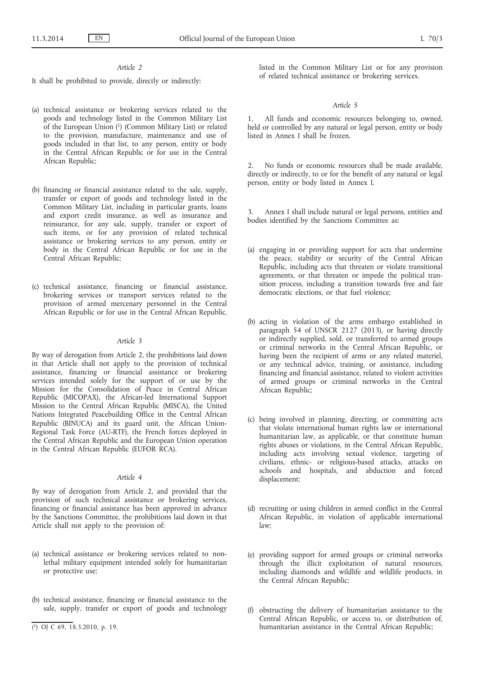### *Article 2*

It shall be prohibited to provide, directly or indirectly:

- (a) technical assistance or brokering services related to the goods and technology listed in the Common Military List of the European Union (1) (Common Military List) or related to the provision, manufacture, maintenance and use of goods included in that list, to any person, entity or body in the Central African Republic or for use in the Central African Republic;
- (b) financing or financial assistance related to the sale, supply, transfer or export of goods and technology listed in the Common Military List, including in particular grants, loans and export credit insurance, as well as insurance and reinsurance, for any sale, supply, transfer or export of such items, or for any provision of related technical assistance or brokering services to any person, entity or body in the Central African Republic or for use in the Central African Republic;
- (c) technical assistance, financing or financial assistance, brokering services or transport services related to the provision of armed mercenary personnel in the Central African Republic or for use in the Central African Republic.

#### *Article 3*

By way of derogation from Article 2, the prohibitions laid down in that Article shall not apply to the provision of technical assistance, financing or financial assistance or brokering services intended solely for the support of or use by the Mission for the Consolidation of Peace in Central African Republic (MICOPAX), the African-led International Support Mission to the Central African Republic (MISCA), the United Nations Integrated Peacebuilding Office in the Central African Republic (BINUCA) and its guard unit, the African Union-Regional Task Force (AU-RTF), the French forces deployed in the Central African Republic and the European Union operation in the Central African Republic (EUFOR RCA).

## *Article 4*

By way of derogation from Article 2, and provided that the provision of such technical assistance or brokering services, financing or financial assistance has been approved in advance by the Sanctions Committee, the prohibitions laid down in that Article shall not apply to the provision of:

- (a) technical assistance or brokering services related to nonlethal military equipment intended solely for humanitarian or protective use;
- (b) technical assistance, financing or financial assistance to the sale, supply, transfer or export of goods and technology
- ( 1) OJ C 69, 18.3.2010, p. 19.

listed in the Common Military List or for any provision of related technical assistance or brokering services.

#### *Article 5*

All funds and economic resources belonging to, owned, held or controlled by any natural or legal person, entity or body listed in Annex I shall be frozen.

No funds or economic resources shall be made available, directly or indirectly, to or for the benefit of any natural or legal person, entity or body listed in Annex I.

3. Annex I shall include natural or legal persons, entities and bodies identified by the Sanctions Committee as:

- (a) engaging in or providing support for acts that undermine the peace, stability or security of the Central African Republic, including acts that threaten or violate transitional agreements, or that threaten or impede the political transition process, including a transition towards free and fair democratic elections, or that fuel violence;
- (b) acting in violation of the arms embargo established in paragraph 54 of UNSCR 2127 (2013), or having directly or indirectly supplied, sold, or transferred to armed groups or criminal networks in the Central African Republic, or having been the recipient of arms or any related materiel, or any technical advice, training, or assistance, including financing and financial assistance, related to violent activities of armed groups or criminal networks in the Central African Republic;
- (c) being involved in planning, directing, or committing acts that violate international human rights law or international humanitarian law, as applicable, or that constitute human rights abuses or violations, in the Central African Republic, including acts involving sexual violence, targeting of civilians, ethnic- or religious-based attacks, attacks on schools and hospitals, and abduction and forced displacement;
- (d) recruiting or using children in armed conflict in the Central African Republic, in violation of applicable international law;
- (e) providing support for armed groups or criminal networks through the illicit exploitation of natural resources, including diamonds and wildlife and wildlife products, in the Central African Republic;
- (f) obstructing the delivery of humanitarian assistance to the Central African Republic, or access to, or distribution of, humanitarian assistance in the Central African Republic;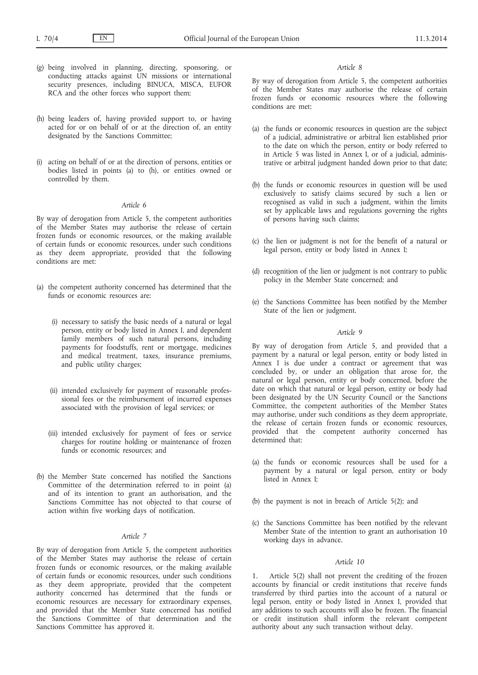- (g) being involved in planning, directing, sponsoring, or conducting attacks against UN missions or international security presences, including BINUCA, MISCA, EUFOR RCA and the other forces who support them;
- (h) being leaders of, having provided support to, or having acted for or on behalf of or at the direction of, an entity designated by the Sanctions Committee;
- (i) acting on behalf of or at the direction of persons, entities or bodies listed in points (a) to (h), or entities owned or controlled by them.

### *Article 6*

By way of derogation from Article 5, the competent authorities of the Member States may authorise the release of certain frozen funds or economic resources, or the making available of certain funds or economic resources, under such conditions as they deem appropriate, provided that the following conditions are met:

- (a) the competent authority concerned has determined that the funds or economic resources are:
	- (i) necessary to satisfy the basic needs of a natural or legal person, entity or body listed in Annex I, and dependent family members of such natural persons, including payments for foodstuffs, rent or mortgage, medicines and medical treatment, taxes, insurance premiums, and public utility charges;
	- (ii) intended exclusively for payment of reasonable professional fees or the reimbursement of incurred expenses associated with the provision of legal services; or
	- (iii) intended exclusively for payment of fees or service charges for routine holding or maintenance of frozen funds or economic resources; and
- (b) the Member State concerned has notified the Sanctions Committee of the determination referred to in point (a) and of its intention to grant an authorisation, and the Sanctions Committee has not objected to that course of action within five working days of notification.

### *Article 7*

By way of derogation from Article 5, the competent authorities of the Member States may authorise the release of certain frozen funds or economic resources, or the making available of certain funds or economic resources, under such conditions as they deem appropriate, provided that the competent authority concerned has determined that the funds or economic resources are necessary for extraordinary expenses, and provided that the Member State concerned has notified the Sanctions Committee of that determination and the Sanctions Committee has approved it.

#### *Article 8*

By way of derogation from Article 5, the competent authorities of the Member States may authorise the release of certain frozen funds or economic resources where the following conditions are met:

- (a) the funds or economic resources in question are the subject of a judicial, administrative or arbitral lien established prior to the date on which the person, entity or body referred to in Article 5 was listed in Annex I, or of a judicial, administrative or arbitral judgment handed down prior to that date;
- (b) the funds or economic resources in question will be used exclusively to satisfy claims secured by such a lien or recognised as valid in such a judgment, within the limits set by applicable laws and regulations governing the rights of persons having such claims;
- (c) the lien or judgment is not for the benefit of a natural or legal person, entity or body listed in Annex I;
- (d) recognition of the lien or judgment is not contrary to public policy in the Member State concerned; and
- (e) the Sanctions Committee has been notified by the Member State of the lien or judgment.

### *Article 9*

By way of derogation from Article 5, and provided that a payment by a natural or legal person, entity or body listed in Annex I is due under a contract or agreement that was concluded by, or under an obligation that arose for, the natural or legal person, entity or body concerned, before the date on which that natural or legal person, entity or body had been designated by the UN Security Council or the Sanctions Committee, the competent authorities of the Member States may authorise, under such conditions as they deem appropriate, the release of certain frozen funds or economic resources, provided that the competent authority concerned has determined that:

- (a) the funds or economic resources shall be used for a payment by a natural or legal person, entity or body listed in Annex I;
- (b) the payment is not in breach of Article 5(2); and
- (c) the Sanctions Committee has been notified by the relevant Member State of the intention to grant an authorisation 10 working days in advance.

#### *Article 10*

1. Article 5(2) shall not prevent the crediting of the frozen accounts by financial or credit institutions that receive funds transferred by third parties into the account of a natural or legal person, entity or body listed in Annex I, provided that any additions to such accounts will also be frozen. The financial or credit institution shall inform the relevant competent authority about any such transaction without delay.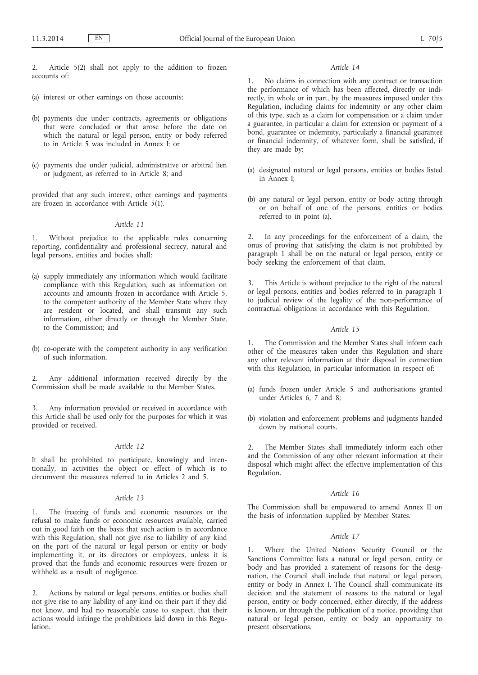Article 5(2) shall not apply to the addition to frozen accounts of:

- (a) interest or other earnings on those accounts;
- (b) payments due under contracts, agreements or obligations that were concluded or that arose before the date on which the natural or legal person, entity or body referred to in Article 5 was included in Annex I; or
- (c) payments due under judicial, administrative or arbitral lien or judgment, as referred to in Article 8; and

provided that any such interest, other earnings and payments are frozen in accordance with Article 5(1).

## *Article 11*

1. Without prejudice to the applicable rules concerning reporting, confidentiality and professional secrecy, natural and legal persons, entities and bodies shall:

- (a) supply immediately any information which would facilitate compliance with this Regulation, such as information on accounts and amounts frozen in accordance with Article 5, to the competent authority of the Member State where they are resident or located, and shall transmit any such information, either directly or through the Member State, to the Commission; and
- (b) co-operate with the competent authority in any verification of such information.

2. Any additional information received directly by the Commission shall be made available to the Member States.

Any information provided or received in accordance with this Article shall be used only for the purposes for which it was provided or received.

### *Article 12*

It shall be prohibited to participate, knowingly and intentionally, in activities the object or effect of which is to circumvent the measures referred to in Articles 2 and 5.

## *Article 13*

1. The freezing of funds and economic resources or the refusal to make funds or economic resources available, carried out in good faith on the basis that such action is in accordance with this Regulation, shall not give rise to liability of any kind on the part of the natural or legal person or entity or body implementing it, or its directors or employees, unless it is proved that the funds and economic resources were frozen or withheld as a result of negligence.

2. Actions by natural or legal persons, entities or bodies shall not give rise to any liability of any kind on their part if they did not know, and had no reasonable cause to suspect, that their actions would infringe the prohibitions laid down in this Regulation.

### *Article 14*

1. No claims in connection with any contract or transaction the performance of which has been affected, directly or indirectly, in whole or in part, by the measures imposed under this Regulation, including claims for indemnity or any other claim of this type, such as a claim for compensation or a claim under a guarantee, in particular a claim for extension or payment of a bond, guarantee or indemnity, particularly a financial guarantee or financial indemnity, of whatever form, shall be satisfied, if they are made by:

- (a) designated natural or legal persons, entities or bodies listed in Annex I;
- (b) any natural or legal person, entity or body acting through or on behalf of one of the persons, entities or bodies referred to in point (a).

2. In any proceedings for the enforcement of a claim, the onus of proving that satisfying the claim is not prohibited by paragraph 1 shall be on the natural or legal person, entity or body seeking the enforcement of that claim.

This Article is without prejudice to the right of the natural or legal persons, entities and bodies referred to in paragraph 1 to judicial review of the legality of the non-performance of contractual obligations in accordance with this Regulation.

## *Article 15*

1. The Commission and the Member States shall inform each other of the measures taken under this Regulation and share any other relevant information at their disposal in connection with this Regulation, in particular information in respect of:

- (a) funds frozen under Article 5 and authorisations granted under Articles 6, 7 and 8;
- (b) violation and enforcement problems and judgments handed down by national courts.

The Member States shall immediately inform each other and the Commission of any other relevant information at their disposal which might affect the effective implementation of this Regulation.

#### *Article 16*

The Commission shall be empowered to amend Annex II on the basis of information supplied by Member States.

#### *Article 17*

1. Where the United Nations Security Council or the Sanctions Committee lists a natural or legal person, entity or body and has provided a statement of reasons for the designation, the Council shall include that natural or legal person, entity or body in Annex I. The Council shall communicate its decision and the statement of reasons to the natural or legal person, entity or body concerned, either directly, if the address is known, or through the publication of a notice, providing that natural or legal person, entity or body an opportunity to present observations.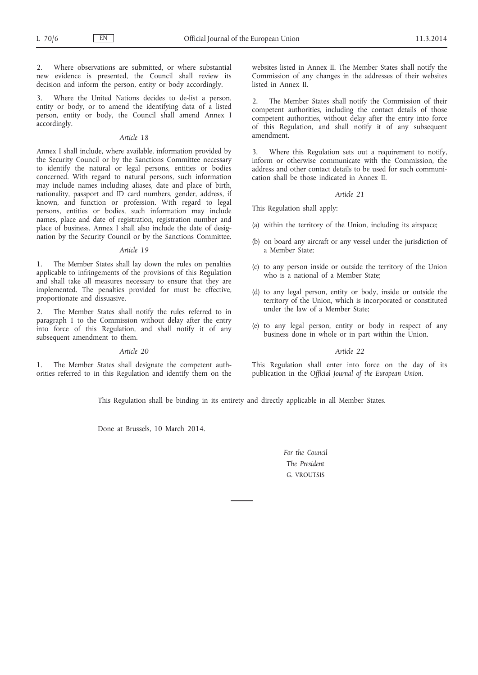2. Where observations are submitted, or where substantial new evidence is presented, the Council shall review its decision and inform the person, entity or body accordingly.

3. Where the United Nations decides to de-list a person, entity or body, or to amend the identifying data of a listed person, entity or body, the Council shall amend Annex I accordingly.

## *Article 18*

Annex I shall include, where available, information provided by the Security Council or by the Sanctions Committee necessary to identify the natural or legal persons, entities or bodies concerned. With regard to natural persons, such information may include names including aliases, date and place of birth, nationality, passport and ID card numbers, gender, address, if known, and function or profession. With regard to legal persons, entities or bodies, such information may include names, place and date of registration, registration number and place of business. Annex I shall also include the date of designation by the Security Council or by the Sanctions Committee.

#### *Article 19*

1. The Member States shall lay down the rules on penalties applicable to infringements of the provisions of this Regulation and shall take all measures necessary to ensure that they are implemented. The penalties provided for must be effective, proportionate and dissuasive.

2. The Member States shall notify the rules referred to in paragraph 1 to the Commission without delay after the entry into force of this Regulation, and shall notify it of any subsequent amendment to them.

#### *Article 20*

1. The Member States shall designate the competent authorities referred to in this Regulation and identify them on the websites listed in Annex II. The Member States shall notify the Commission of any changes in the addresses of their websites listed in Annex II.

2. The Member States shall notify the Commission of their competent authorities, including the contact details of those competent authorities, without delay after the entry into force of this Regulation, and shall notify it of any subsequent amendment.

Where this Regulation sets out a requirement to notify, inform or otherwise communicate with the Commission, the address and other contact details to be used for such communication shall be those indicated in Annex II.

#### *Article 21*

This Regulation shall apply:

- (a) within the territory of the Union, including its airspace;
- (b) on board any aircraft or any vessel under the jurisdiction of a Member State;
- (c) to any person inside or outside the territory of the Union who is a national of a Member State;
- (d) to any legal person, entity or body, inside or outside the territory of the Union, which is incorporated or constituted under the law of a Member State;
- (e) to any legal person, entity or body in respect of any business done in whole or in part within the Union.

#### *Article 22*

This Regulation shall enter into force on the day of its publication in the *Official Journal of the European Union*.

This Regulation shall be binding in its entirety and directly applicable in all Member States.

Done at Brussels, 10 March 2014.

*For the Council The President* G. VROUTSIS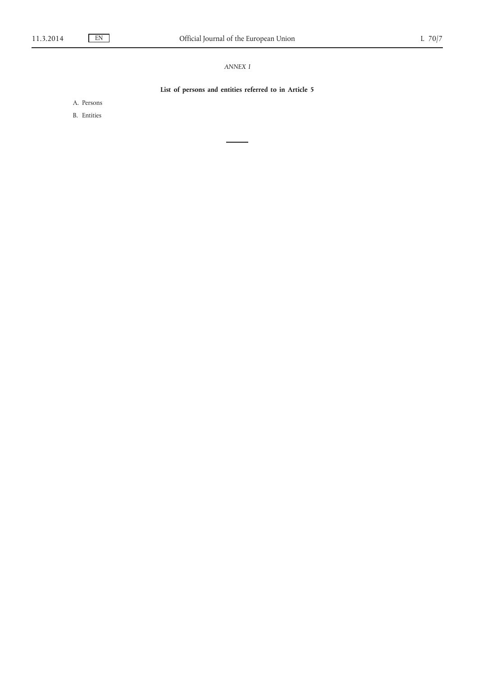## *ANNEX I*

## **List of persons and entities referred to in Article 5**

A. Persons

B. Entities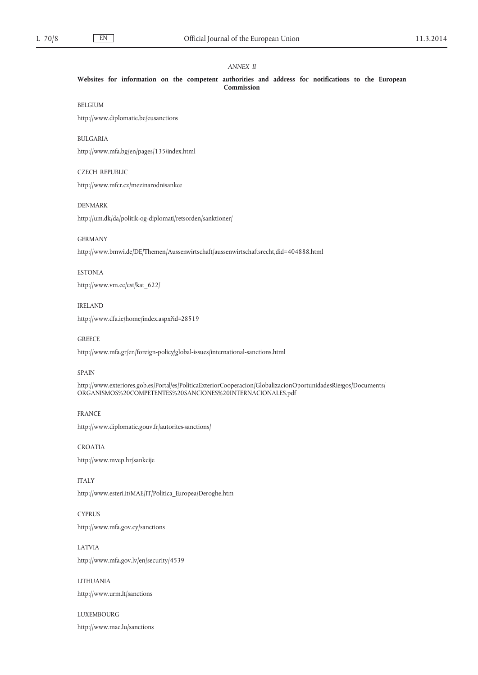## *ANNEX II*

**Websites for information on the competent authorities and address for notifications to the European Commission**

## BELGIUM

<http://www.diplomatie.be/eusanctions>

## BULGARIA

<http://www.mfa.bg/en/pages/135/index.html>

## CZECH REPUBLIC

<http://www.mfcr.cz/mezinarodnisankce>

## DENMARK

<http://um.dk/da/politik-og-diplomati/retsorden/sanktioner/>

### GERMANY

<http://www.bmwi.de/DE/Themen/Aussenwirtschaft/aussenwirtschaftsrecht,did=404888.html>

## ESTONIA

[http://www.vm.ee/est/kat\\_622/](http://www.vm.ee/est/kat_622/)

### IRELAND

<http://www.dfa.ie/home/index.aspx?id=28519>

### **GREECE**

<http://www.mfa.gr/en/foreign-policy/global-issues/international-sanctions.html>

## SPAIN

[http://www.exteriores.gob.es/Portal/es/PoliticaExteriorCooperacion/GlobalizacionOportunidadesRiesgos/Documents/](http://www.exteriores.gob.es/Portal/es/PoliticaExteriorCooperacion/GlobalizacionOportunidadesRiesgos/Documents/ORGANISMOS%20COMPETENTES%20SANCIONES%20INTERNACIONALES.pdf) [ORGANISMOS%20COMPETENTES%20SANCIONES%20INTERNACIONALES.pdf](http://www.exteriores.gob.es/Portal/es/PoliticaExteriorCooperacion/GlobalizacionOportunidadesRiesgos/Documents/ORGANISMOS%20COMPETENTES%20SANCIONES%20INTERNACIONALES.pdf)

#### FRANCE

<http://www.diplomatie.gouv.fr/autorites-sanctions/>

## CROATIA <http://www.mvep.hr/sankcije>

ITALY [http://www.esteri.it/MAE/IT/Politica\\_Europea/Deroghe.htm](http://www.esteri.it/MAE/IT/Politica_Europea/Deroghe.htm)

## **CYPRUS** <http://www.mfa.gov.cy/sanctions>

LATVIA <http://www.mfa.gov.lv/en/security/4539>

## LITHUANIA <http://www.urm.lt/sanctions>

LUXEMBOURG <http://www.mae.lu/sanctions>